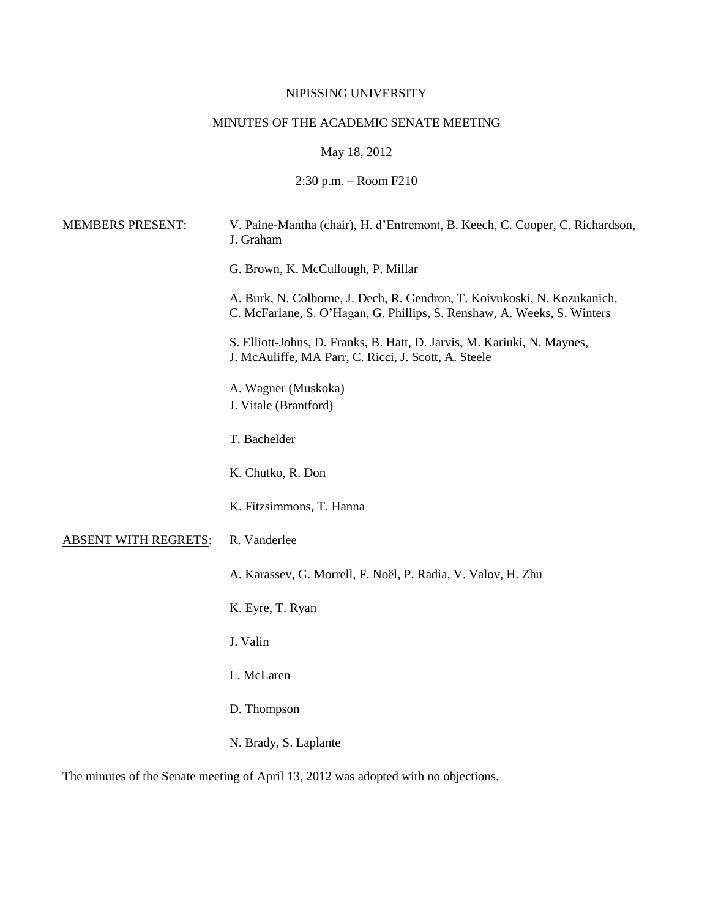## NIPISSING UNIVERSITY

# MINUTES OF THE ACADEMIC SENATE MEETING

May 18, 2012

2:30 p.m. – Room F210

| <b>MEMBERS PRESENT:</b>     | V. Paine-Mantha (chair), H. d'Entremont, B. Keech, C. Cooper, C. Richardson,<br>J. Graham                                                           |
|-----------------------------|-----------------------------------------------------------------------------------------------------------------------------------------------------|
|                             | G. Brown, K. McCullough, P. Millar                                                                                                                  |
|                             | A. Burk, N. Colborne, J. Dech, R. Gendron, T. Koivukoski, N. Kozukanich,<br>C. McFarlane, S. O'Hagan, G. Phillips, S. Renshaw, A. Weeks, S. Winters |
|                             | S. Elliott-Johns, D. Franks, B. Hatt, D. Jarvis, M. Kariuki, N. Maynes,<br>J. McAuliffe, MA Parr, C. Ricci, J. Scott, A. Steele                     |
|                             | A. Wagner (Muskoka)<br>J. Vitale (Brantford)                                                                                                        |
|                             | T. Bachelder                                                                                                                                        |
|                             | K. Chutko, R. Don                                                                                                                                   |
|                             | K. Fitzsimmons, T. Hanna                                                                                                                            |
| <b>ABSENT WITH REGRETS:</b> | R. Vanderlee                                                                                                                                        |
|                             | A. Karassev, G. Morrell, F. Noël, P. Radia, V. Valov, H. Zhu                                                                                        |
|                             | K. Eyre, T. Ryan                                                                                                                                    |
|                             | J. Valin                                                                                                                                            |
|                             | L. McLaren                                                                                                                                          |
|                             | D. Thompson                                                                                                                                         |
|                             | N. Brady, S. Laplante                                                                                                                               |

The minutes of the Senate meeting of April 13, 2012 was adopted with no objections.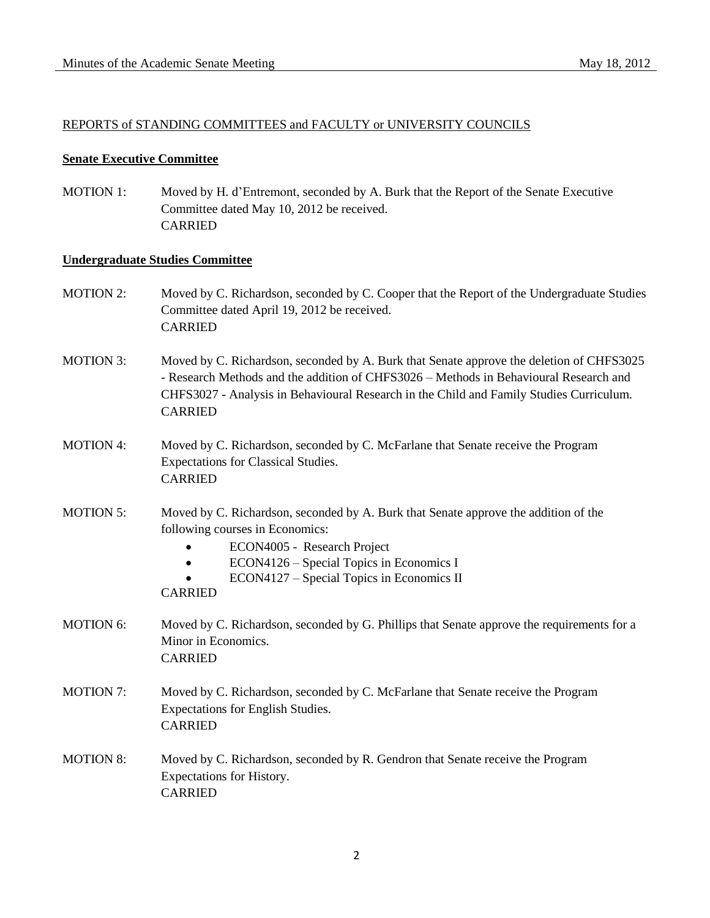### REPORTS of STANDING COMMITTEES and FACULTY or UNIVERSITY COUNCILS

### **Senate Executive Committee**

MOTION 1: Moved by H. d'Entremont, seconded by A. Burk that the Report of the Senate Executive Committee dated May 10, 2012 be received. CARRIED

### **Undergraduate Studies Committee**

- MOTION 2: Moved by C. Richardson, seconded by C. Cooper that the Report of the Undergraduate Studies Committee dated April 19, 2012 be received. CARRIED
- MOTION 3: Moved by C. Richardson, seconded by A. Burk that Senate approve the deletion of CHFS3025 - Research Methods and the addition of CHFS3026 – Methods in Behavioural Research and CHFS3027 - Analysis in Behavioural Research in the Child and Family Studies Curriculum. CARRIED
- MOTION 4: Moved by C. Richardson, seconded by C. McFarlane that Senate receive the Program Expectations for Classical Studies. **CARRIED**
- MOTION 5: Moved by C. Richardson, seconded by A. Burk that Senate approve the addition of the following courses in Economics:
	- ECON4005 Research Project
	- ECON4126 Special Topics in Economics I
	- ECON4127 Special Topics in Economics II

## CARRIED

- MOTION 6: Moved by C. Richardson, seconded by G. Phillips that Senate approve the requirements for a Minor in Economics. CARRIED
- MOTION 7: Moved by C. Richardson, seconded by C. McFarlane that Senate receive the Program Expectations for English Studies. CARRIED
- MOTION 8: Moved by C. Richardson, seconded by R. Gendron that Senate receive the Program Expectations for History. CARRIED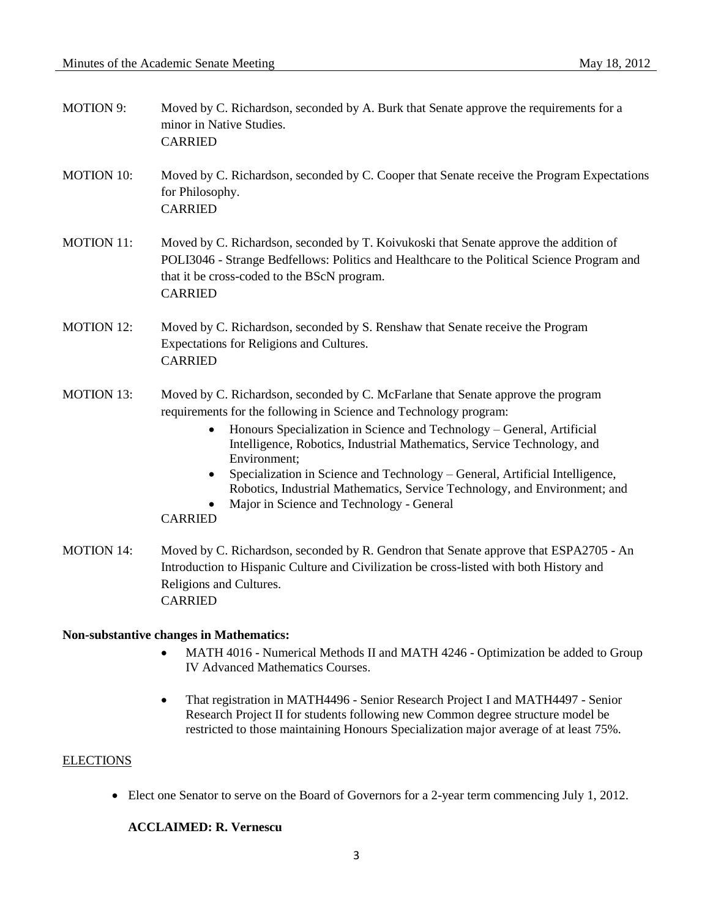| <b>MOTION 9:</b>  | Moved by C. Richardson, seconded by A. Burk that Senate approve the requirements for a<br>minor in Native Studies.<br><b>CARRIED</b>                                                                                                                                                                                                                                                                                                                                                                                                                                      |
|-------------------|---------------------------------------------------------------------------------------------------------------------------------------------------------------------------------------------------------------------------------------------------------------------------------------------------------------------------------------------------------------------------------------------------------------------------------------------------------------------------------------------------------------------------------------------------------------------------|
| <b>MOTION 10:</b> | Moved by C. Richardson, seconded by C. Cooper that Senate receive the Program Expectations<br>for Philosophy.<br><b>CARRIED</b>                                                                                                                                                                                                                                                                                                                                                                                                                                           |
| <b>MOTION 11:</b> | Moved by C. Richardson, seconded by T. Koivukoski that Senate approve the addition of<br>POLI3046 - Strange Bedfellows: Politics and Healthcare to the Political Science Program and<br>that it be cross-coded to the BScN program.<br><b>CARRIED</b>                                                                                                                                                                                                                                                                                                                     |
| <b>MOTION 12:</b> | Moved by C. Richardson, seconded by S. Renshaw that Senate receive the Program<br>Expectations for Religions and Cultures.<br><b>CARRIED</b>                                                                                                                                                                                                                                                                                                                                                                                                                              |
| <b>MOTION 13:</b> | Moved by C. Richardson, seconded by C. McFarlane that Senate approve the program<br>requirements for the following in Science and Technology program:<br>Honours Specialization in Science and Technology - General, Artificial<br>٠<br>Intelligence, Robotics, Industrial Mathematics, Service Technology, and<br>Environment;<br>Specialization in Science and Technology - General, Artificial Intelligence,<br>$\bullet$<br>Robotics, Industrial Mathematics, Service Technology, and Environment; and<br>Major in Science and Technology - General<br><b>CARRIED</b> |
| <b>MOTION 14:</b> | Moved by C. Richardson, seconded by R. Gendron that Senate approve that ESPA2705 - An<br>Introduction to Hispanic Culture and Civilization be cross-listed with both History and<br>Religions and Cultures.<br><b>CARRIED</b>                                                                                                                                                                                                                                                                                                                                             |
|                   | <b>Non-substantive changes in Mathematics:</b><br>MATH 4016 - Numerical Methods II and MATH 4246 - Optimization be added to Group<br><b>IV Advanced Mathematics Courses.</b>                                                                                                                                                                                                                                                                                                                                                                                              |

 That registration in MATH4496 - Senior Research Project I and MATH4497 - Senior Research Project II for students following new Common degree structure model be restricted to those maintaining Honours Specialization major average of at least 75%.

# **ELECTIONS**

Elect one Senator to serve on the Board of Governors for a 2-year term commencing July 1, 2012.

## **ACCLAIMED: R. Vernescu**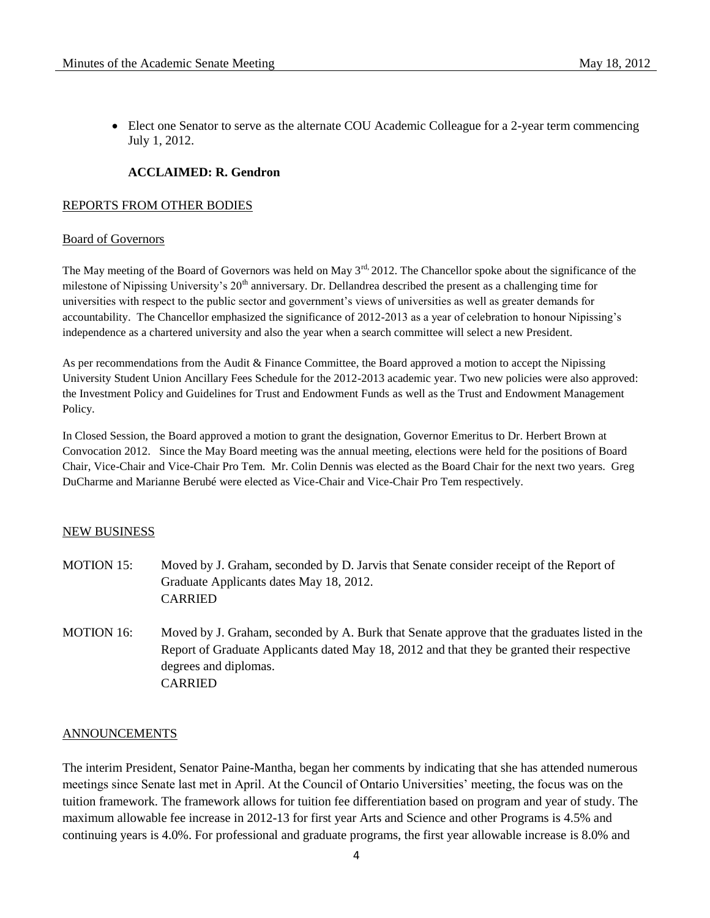Elect one Senator to serve as the alternate COU Academic Colleague for a 2-year term commencing July 1, 2012.

## **ACCLAIMED: R. Gendron**

### REPORTS FROM OTHER BODIES

#### Board of Governors

The May meeting of the Board of Governors was held on May  $3<sup>rd</sup>$ , 2012. The Chancellor spoke about the significance of the milestone of Nipissing University's  $20<sup>th</sup>$  anniversary. Dr. Dellandrea described the present as a challenging time for universities with respect to the public sector and government's views of universities as well as greater demands for accountability. The Chancellor emphasized the significance of 2012-2013 as a year of celebration to honour Nipissing's independence as a chartered university and also the year when a search committee will select a new President.

As per recommendations from the Audit & Finance Committee, the Board approved a motion to accept the Nipissing University Student Union Ancillary Fees Schedule for the 2012-2013 academic year. Two new policies were also approved: the Investment Policy and Guidelines for Trust and Endowment Funds as well as the Trust and Endowment Management Policy.

In Closed Session, the Board approved a motion to grant the designation, Governor Emeritus to Dr. Herbert Brown at Convocation 2012. Since the May Board meeting was the annual meeting, elections were held for the positions of Board Chair, Vice-Chair and Vice-Chair Pro Tem. Mr. Colin Dennis was elected as the Board Chair for the next two years. Greg DuCharme and Marianne Berubé were elected as Vice-Chair and Vice-Chair Pro Tem respectively.

#### NEW BUSINESS

- MOTION 15: Moved by J. Graham, seconded by D. Jarvis that Senate consider receipt of the Report of Graduate Applicants dates May 18, 2012. CARRIED
- MOTION 16: Moved by J. Graham, seconded by A. Burk that Senate approve that the graduates listed in the Report of Graduate Applicants dated May 18, 2012 and that they be granted their respective degrees and diplomas. CARRIED

### ANNOUNCEMENTS

The interim President, Senator Paine-Mantha, began her comments by indicating that she has attended numerous meetings since Senate last met in April. At the Council of Ontario Universities' meeting, the focus was on the tuition framework. The framework allows for tuition fee differentiation based on program and year of study. The maximum allowable fee increase in 2012-13 for first year Arts and Science and other Programs is 4.5% and continuing years is 4.0%. For professional and graduate programs, the first year allowable increase is 8.0% and